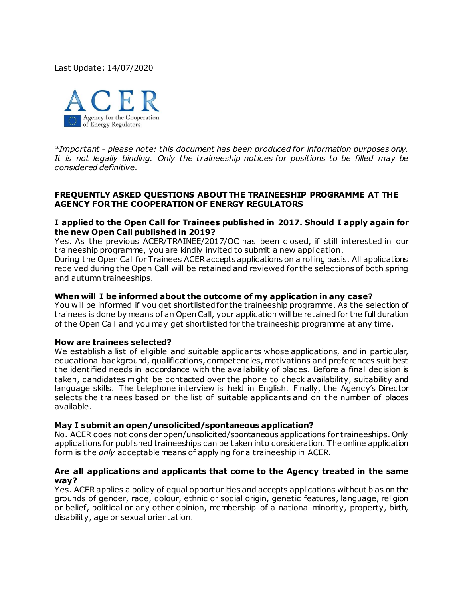Last Update: 14/07/2020



*\*Important - please note: this document has been produced for information purposes only. It is not legally binding. Only the traineeship notices for positions to be filled may be considered definitive.* 

### **FREQUENTLY ASKED QUESTIONS ABOUT THE TRAINEESHIP PROGRAMME AT THE AGENCY FOR THE COOPERATION OF ENERGY REGULATORS**

## **I applied to the Open Call for Trainees published in 2017. Should I apply again for the new Open Call published in 2019?**

Yes. As the previous ACER/TRAINEE/2017/OC has been closed, if still interested in our traineeship programme, you are kindly invited to submit a new application.

During the Open Call for Trainees ACER accepts applications on a rolling basis. All applications received during the Open Call will be retained and reviewed for the selections of both spring and autumn traineeships.

## **When will I be informed about the outcome of my application in any case?**

You will be informed if you get shortlisted for the traineeship programme. As the selection of trainees is done by means of an Open Call, your application will be retained for the full duration of the Open Call and you may get shortlisted for the traineeship programme at any time.

### **How are trainees selected?**

We establish a list of eligible and suitable applicants whose applications, and in particular, educational background, qualifications, competencies, motivations and preferences suit best the identified needs in accordance with the availability of places. Before a final decision is taken, candidates might be contacted over the phone to check availability, suitability and language skills. The telephone interview is held in English. Finally, the Agency's Director selects the trainees based on the list of suitable applicants and on the number of places available.

### **May I submit an open/unsolicited/spontaneous application?**

No. ACER does not consider open/unsolicited/spontaneous applications for traineeships. Only applications for published traineeships can be taken into consideration. The online application form is the *only* acceptable means of applying for a traineeship in ACER.

### **Are all applications and applicants that come to the Agency treated in the same way?**

Yes. ACERapplies a policy of equal opportunities and accepts applications without bias on the grounds of gender, race, colour, ethnic or social origin, genetic features, language, religion or belief, political or any other opinion, membership of a national minority, property, birth, disability, age or sexual orientation.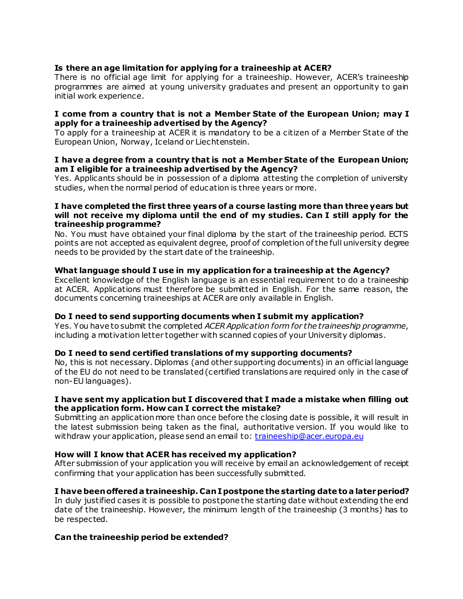# **Is there an age limitation for applying for a traineeship at ACER?**

There is no official age limit for applying for a traineeship. However, ACER's traineeship programmes are aimed at young university graduates and present an opportunity to gain initial work experience.

#### **I come from a country that is not a Member State of the European Union; may I apply for a traineeship advertised by the Agency?**

To apply for a traineeship at ACER it is mandatory to be a citizen of a Member State of the European Union, Norway, Iceland or Liechtenstein.

## **I have a degree from a country that is not a Member State of the European Union; am I eligible for a traineeship advertised by the Agency?**

Yes. Applicants should be in possession of a diploma attesting the completion of university studies, when the normal period of education is three years or more.

#### **I have completed the first three years of a course lasting more than three years but will not receive my diploma until the end of my studies. Can I still apply for the traineeship programme?**

No. You must have obtained your final diploma by the start of the traineeship period. ECTS points are not accepted as equivalent degree, proof of completion of the full university degree needs to be provided by the start date of the traineeship.

# **What language should I use in my application for a traineeship at the Agency?**

Excellent knowledge of the English language is an essential requirement to do a traineeship at ACER. Applications must therefore be submitted in English. For the same reason, the documents concerning traineeships at ACERare only available in English.

### **Do I need to send supporting documents when I submit my application?**

Yes. You have to submit the completed *ACERApplication form for the traineeship programme*, including a motivation letter together with scanned copies of your University diplomas.

### **Do I need to send certified translations of my supporting documents?**

No, this is not necessary. Diplomas (and other supporting documents) in an official language of the EU do not need to be translated (certified translations are required only in the case of non-EU languages).

### **I have sent my application but I discovered that I made a mistake when filling out the application form. How can I correct the mistake?**

Submitting an application more than once before the closing date is possible, it will result in the latest submission being taken as the final, authoritative version. If you would like to withdraw your application, please send an email to: [traineeship@acer.europa.eu](mailto:traineeship@acer.europa.eu)

### **How will I know that ACER has received my application?**

After submission of your application you will receive by email an acknowledgement of receipt confirming that your application has been successfully submitted.

# **I have been offered a traineeship. Can I postpone the starting date to a later period?**

In duly justified cases it is possible to postpone the starting date without extending the end date of the traineeship. However, the minimum length of the traineeship (3 months) has to be respected.

### **Can the traineeship period be extended?**